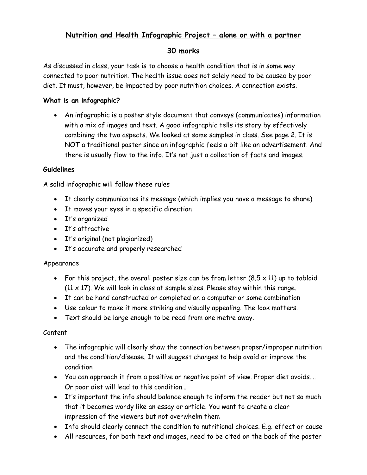# **Nutrition and Health Infographic Project – alone or with a partner**

## **30 marks**

As discussed in class, your task is to choose a health condition that is in some way connected to poor nutrition. The health issue does not solely need to be caused by poor diet. It must, however, be impacted by poor nutrition choices. A connection exists.

### **What is an infographic?**

• An infographic is a poster style document that conveys (communicates) information with a mix of images and text. A good infographic tells its story by effectively combining the two aspects. We looked at some samples in class. See page 2. It is NOT a traditional poster since an infographic feels a bit like an advertisement. And there is usually flow to the info. It's not just a collection of facts and images.

#### **Guidelines**

A solid infographic will follow these rules

- It clearly communicates its message (which implies you have a message to share)
- It moves your eyes in a specific direction
- It's organized
- It's attractive
- It's original (not plagiarized)
- It's accurate and properly researched

#### Appearance

- For this project, the overall poster size can be from letter  $(8.5 \times 11)$  up to tabloid  $(11 \times 17)$ . We will look in class at sample sizes. Please stay within this range.
- It can be hand constructed or completed on a computer or some combination
- Use colour to make it more striking and visually appealing. The look matters.
- Text should be large enough to be read from one metre away.

#### Content

- The infographic will clearly show the connection between proper/improper nutrition and the condition/disease. It will suggest changes to help avoid or improve the condition
- You can approach it from a positive or negative point of view. Proper diet avoids…. Or poor diet will lead to this condition…
- It's important the info should balance enough to inform the reader but not so much that it becomes wordy like an essay or article. You want to create a clear impression of the viewers but not overwhelm them
- Info should clearly connect the condition to nutritional choices. E.g. effect or cause
- All resources, for both text and images, need to be cited on the back of the poster